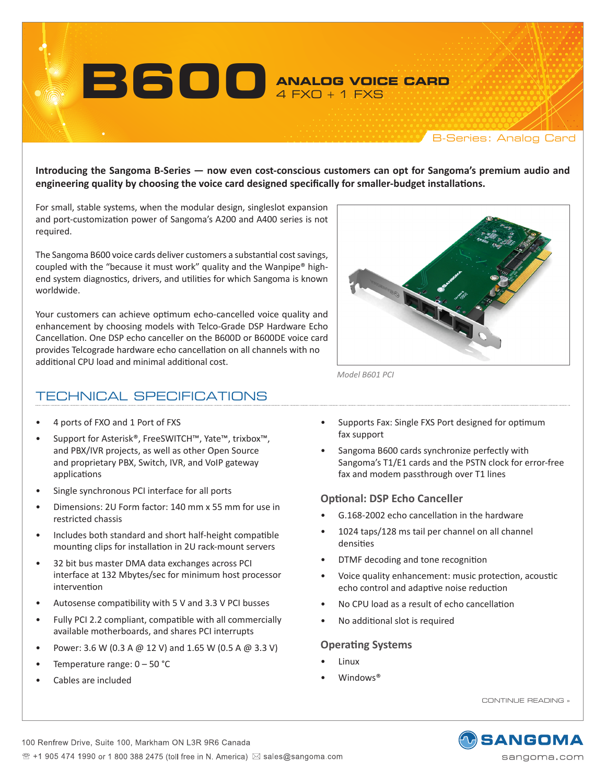**ANALOG VOICE CARD** 4 FXO + 1 FXS

B-Series: Analog Card

**Introducing the Sangoma B-Series — now even cost-conscious customers can opt for Sangoma's premium audio and engineering quality by choosing the voice card designed specifically for smaller-budget installations.**

For small, stable systems, when the modular design, singleslot expansion and port-customization power of Sangoma's A200 and A400 series is not required.

**B600**

The Sangoma B600 voice cards deliver customers a substantial costsavings, coupled with the "because it must work" quality and the Wanpipe® highend system diagnostics, drivers, and utilities for which Sangoma is known worldwide.

Your customers can achieve optimum echo-cancelled voice quality and enhancement by choosing models with Telco-Grade DSP Hardware Echo Cancellation. One DSP echo canceller on the B600D or B600DE voice card provides Telcograde hardware echo cancellation on all channels with no additional CPU load and minimal additional cost.

# TECHNICAL SPECIFICATIONS

- 4 ports of FXO and 1 Port of FXS
- Support for Asterisk®, FreeSWITCH™, Yate™, trixbox™, and PBX/IVR projects, as well as other Open Source and proprietary PBX, Switch, IVR, and VoIP gateway applications
- Single synchronous PCI interface for all ports
- Dimensions: 2U Form factor: 140 mm x 55 mm for use in restricted chassis
- Includes both standard and short half-height compatible mounting clips for installation in 2U rack-mount servers
- • 32 bit bus master DMA data exchanges across PCI interface at 132 Mbytes/sec for minimum host processor intervention
- Autosense compatibility with 5 V and 3.3 V PCI busses
- • Fully PCI 2.2 compliant, compatible with all commercially available motherboards, and shares PCI interrupts
- Power: 3.6 W (0.3 A @ 12 V) and 1.65 W (0.5 A @ 3.3 V)
- Temperature range:  $0 50$  °C
- Cables are included
- Supports Fax: Single FXS Port designed for optimum fax support
- Sangoma B600 cards synchronize perfectly with Sangoma's T1/E1 cards and the PSTN clock for error-free fax and modem passthrough over T1 lines

#### **Optional: DSP Echo Canceller**

*Model B601 PCI*

- G.168-2002 echo cancellation in the hardware
- 1024 taps/128 ms tail per channel on all channel densities
- DTMF decoding and tone recognition
- • Voice quality enhancement: music protection, acoustic echo control and adaptive noise reduction
- No CPU load as a result of echo cancellation
- • No additional slot is required

#### **Operating Systems**

- **Linux**
- Windows<sup>®</sup>

CONTINUE READING »